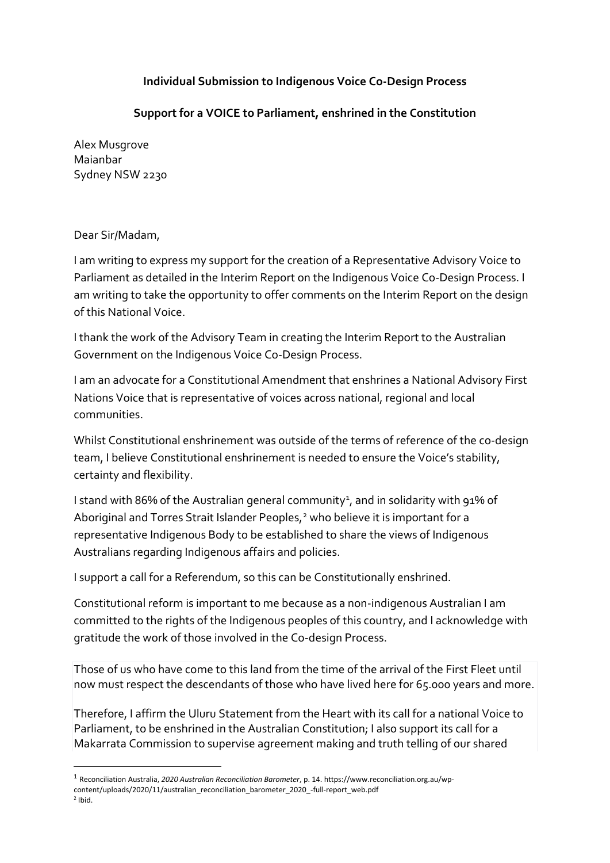## **Individual Submission to Indigenous Voice Co-Design Process**

## **Support for a VOICE to Parliament, enshrined in the Constitution**

Alex Musgrove Maianbar Sydney NSW 2230

## Dear Sir/Madam,

I am writing to express my support for the creation of a Representative Advisory Voice to Parliament as detailed in the Interim Report on the Indigenous Voice Co-Design Process. I am writing to take the opportunity to offer comments on the Interim Report on the design of this National Voice.

I thank the work of the Advisory Team in creating the Interim Report to the Australian Government on the Indigenous Voice Co-Design Process.

I am an advocate for a Constitutional Amendment that enshrines a National Advisory First Nations Voice that is representative of voices across national, regional and local communities.

Whilst Constitutional enshrinement was outside of the terms of reference of the co-design team, I believe Constitutional enshrinement is needed to ensure the Voice's stability, certainty and flexibility.

I stand with 86% of the Australian general community<sup>[1](#page-0-0)</sup>, and in solidarity with 91% of Aboriginal and Torres Strait Islander Peoples,<sup>[2](#page-0-1)</sup> who believe it is important for a representative Indigenous Body to be established to share the views of Indigenous Australians regarding Indigenous affairs and policies.

I support a call for a Referendum, so this can be Constitutionally enshrined.

Constitutional reform is important to me because as a non-indigenous Australian I am committed to the rights of the Indigenous peoples of this country, and I acknowledge with gratitude the work of those involved in the Co-design Process.

Those of us who have come to this land from the time of the arrival of the First Fleet until now must respect the descendants of those who have lived here for 65.000 years and more.

Therefore, I affirm the Uluru Statement from the Heart with its call for a national Voice to Parliament, to be enshrined in the Australian Constitution; I also support its call for a Makarrata Commission to supervise agreement making and truth telling of our shared

<span id="page-0-0"></span> <sup>1</sup> Reconciliation Australia, *2020 Australian Reconciliation Barometer*, p. 14. https://www.reconciliation.org.au/wpcontent/uploads/2020/11/australian\_reconciliation\_barometer\_2020\_-full-report\_web.pdf

<span id="page-0-1"></span> $<sup>2</sup>$  Ibid.</sup>